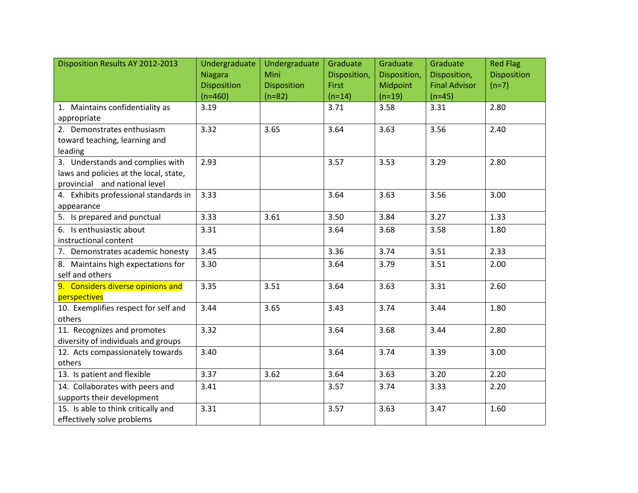| Disposition Results AY 2012-2013       | Undergraduate      | Undergraduate      | Graduate     | Graduate     | Graduate             | <b>Red Flag</b>    |
|----------------------------------------|--------------------|--------------------|--------------|--------------|----------------------|--------------------|
|                                        | <b>Niagara</b>     | Mini               | Disposition, | Disposition, | Disposition,         | <b>Disposition</b> |
|                                        | <b>Disposition</b> | <b>Disposition</b> | <b>First</b> | Midpoint     | <b>Final Advisor</b> | $(n=7)$            |
|                                        | $(n=460)$          | $(n=82)$           | $(n=14)$     | $(n=19)$     | $(n=45)$             |                    |
| 1. Maintains confidentiality as        | 3.19               |                    | 3.71         | 3.58         | 3.31                 | 2.80               |
| appropriate                            |                    |                    |              |              |                      |                    |
| 2. Demonstrates enthusiasm             | 3.32               | 3.65               | 3.64         | 3.63         | 3.56                 | 2.40               |
| toward teaching, learning and          |                    |                    |              |              |                      |                    |
| leading                                |                    |                    |              |              |                      |                    |
| 3. Understands and complies with       | 2.93               |                    | 3.57         | 3.53         | 3.29                 | 2.80               |
| laws and policies at the local, state, |                    |                    |              |              |                      |                    |
| provincial and national level          |                    |                    |              |              |                      |                    |
| 4. Exhibits professional standards in  | 3.33               |                    | 3.64         | 3.63         | 3.56                 | 3.00               |
| appearance                             |                    |                    |              |              |                      |                    |
| 5. Is prepared and punctual            | 3.33               | 3.61               | 3.50         | 3.84         | 3.27                 | 1.33               |
| 6. Is enthusiastic about               | 3.31               |                    | 3.64         | 3.68         | 3.58                 | 1.80               |
| instructional content                  |                    |                    |              |              |                      |                    |
| 7. Demonstrates academic honesty       | 3.45               |                    | 3.36         | 3.74         | 3.51                 | 2.33               |
| 8. Maintains high expectations for     | 3.30               |                    | 3.64         | 3.79         | 3.51                 | 2.00               |
| self and others                        |                    |                    |              |              |                      |                    |
| 9. Considers diverse opinions and      | 3.35               | 3.51               | 3.64         | 3.63         | 3.31                 | 2.60               |
| perspectives                           |                    |                    |              |              |                      |                    |
| 10. Exemplifies respect for self and   | 3.44               | 3.65               | 3.43         | 3.74         | 3.44                 | 1.80               |
| others                                 |                    |                    |              |              |                      |                    |
| 11. Recognizes and promotes            | 3.32               |                    | 3.64         | 3.68         | 3.44                 | 2.80               |
| diversity of individuals and groups    |                    |                    |              |              |                      |                    |
| 12. Acts compassionately towards       | 3.40               |                    | 3.64         | 3.74         | 3.39                 | 3.00               |
| others                                 |                    |                    |              |              |                      |                    |
| 13. Is patient and flexible            | 3.37               | 3.62               | 3.64         | 3.63         | 3.20                 | 2.20               |
| 14. Collaborates with peers and        | 3.41               |                    | 3.57         | 3.74         | 3.33                 | 2.20               |
| supports their development             |                    |                    |              |              |                      |                    |
| 15. Is able to think critically and    | 3.31               |                    | 3.57         | 3.63         | 3.47                 | 1.60               |
| effectively solve problems             |                    |                    |              |              |                      |                    |